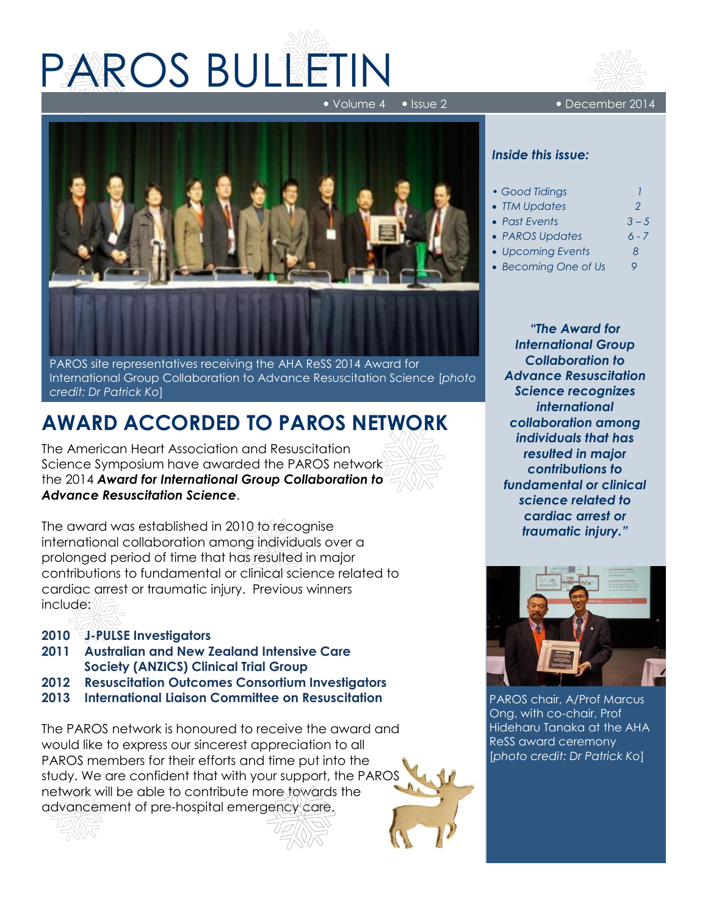# PAROS BULLETIN

Volume 4 Issue 2 December 2014



PAROS site representatives receiving the AHA ReSS 2014 Award for International Group Collaboration to Advance Resuscitation Science [*photo credit: Dr Patrick Ko*]

## **AWARD ACCORDED TO PAROS NETWORK**

The American Heart Association and Resuscitation Science Symposium have awarded the PAROS network the 2014 *Award for International Group Collaboration to Advance Resuscitation Science*.

The award was established in 2010 to recognise international collaboration among individuals over a prolonged period of time that has resulted in major contributions to fundamental or clinical science related to cardiac arrest or traumatic injury. Previous winners include:

- **2010 J-PULSE Investigators**
- **2011 Australian and New Zealand Intensive Care Society (ANZICS) Clinical Trial Group**
- **2012 Resuscitation Outcomes Consortium Investigators**
- **2013 International Liaison Committee on Resuscitation**

The PAROS network is honoured to receive the award and would like to express our sincerest appreciation to all PAROS members for their efforts and time put into the study. We are confident that with your support, the PAROS network will be able to contribute more towards the advancement of pre-hospital emergency care.



#### *Inside this issue:*

| • Good Tidings       |               |
|----------------------|---------------|
| • TM Updates         | $\mathcal{P}$ |
| • Past Events        | $3 - 5$       |
| • PAROS Updates      | $6 - 7$       |
| • Upcoming Events    | 8             |
| • Becoming One of Us | Q             |

*"The Award for International Group Collaboration to Advance Resuscitation Science recognizes international collaboration among individuals that has resulted in major contributions to fundamental or clinical science related to cardiac arrest or traumatic injury."*



PAROS chair, A/Prof Marcus Ong, with co-chair, Prof Hideharu Tanaka at the AHA ReSS award ceremony [*photo credit: Dr Patrick Ko*]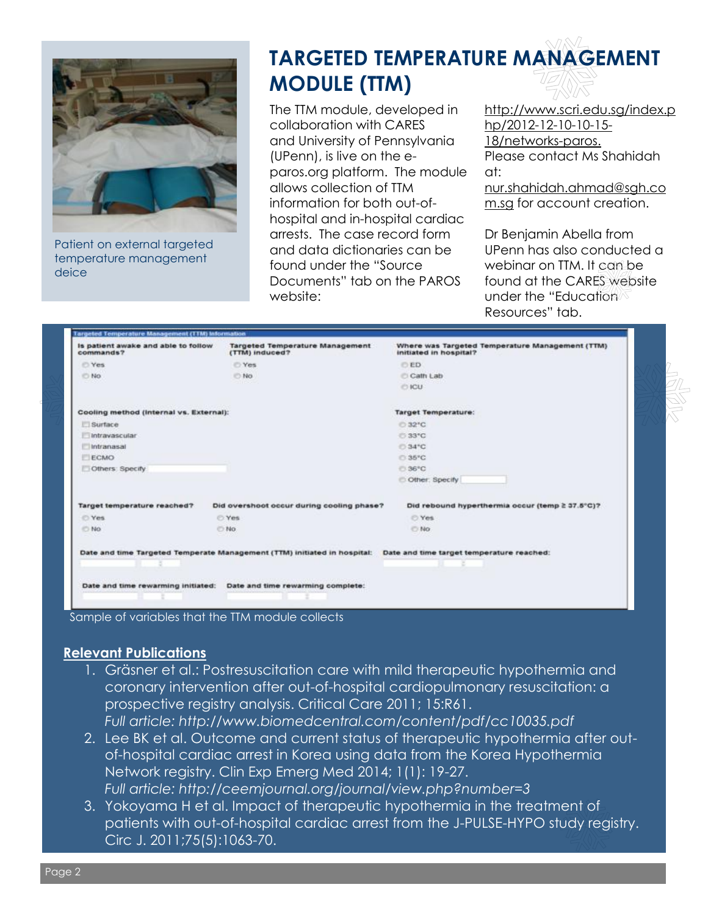

Patient on external targeted temperature management deice

# **TARGETED TEMPERATURE MANAGEMENT MODULE (TTM)**

The TTM module, developed in collaboration with CARES and University of Pennsylvania (UPenn), is live on the eparos.org platform. The module allows collection of TTM information for both out-ofhospital and in-hospital cardiac arrests. The case record form and data dictionaries can be found under the "Source Documents" tab on the PAROS website:

http://www.scri.edu.sg/index.p hp/2012-12-10-10-15- 18/networks-paros. Please contact Ms Shahidah at:

nur.shahidah.ahmad@sgh.co m.sg for account creation.

Dr Benjamin Abella from UPenn has also conducted a webinar on TTM. It can be found at the CARES website under the "Education<sup>"</sup> Resources" tab.

| Is patient awake and able to follow<br>commands? | <b>Targeted Temperature Management</b><br>(TTM) induced?                 | Where was Targeted Temperature Management (TTM)<br>initiated in hospital? |
|--------------------------------------------------|--------------------------------------------------------------------------|---------------------------------------------------------------------------|
| C Yes                                            | C Yes                                                                    | <b>OED</b>                                                                |
| <b>No</b>                                        | <b>ID No.</b>                                                            | C Cath Lab                                                                |
|                                                  |                                                                          | C ICU                                                                     |
| Cooling method (Internal vs. External):          |                                                                          | <b>Target Temperature:</b>                                                |
| <b>El Surface</b>                                |                                                                          | C:32°C                                                                    |
| Intravascular                                    |                                                                          | C 33°C                                                                    |
| Intranasal                                       |                                                                          | C 34°C                                                                    |
| ECMO                                             |                                                                          | C:35°C                                                                    |
| Others: Specify                                  |                                                                          | € 36°C                                                                    |
|                                                  |                                                                          | Other: Specify                                                            |
| Target temperature reached?                      | Did overshoot occur during cooling phase?                                | Did rebound hyperthermia occur (temp ≥ 37.5°C)?                           |
| C Yes                                            | C:Yes                                                                    | <b>O</b> Yes                                                              |
| <b>DING</b>                                      | O No.                                                                    | O No.                                                                     |
|                                                  | Date and time Targeted Temperate Management (TTM) initiated in hospital: | Date and time target temperature reached:                                 |
|                                                  |                                                                          |                                                                           |
|                                                  | Date and time rewarming initiated: Date and time rewarming complete:     |                                                                           |

Sample of variables that the TTM module collects

#### **Relevant Publications**

- 1. Gräsner et al.: Postresuscitation care with mild therapeutic hypothermia and coronary intervention after out-of-hospital cardiopulmonary resuscitation: a prospective registry analysis. Critical Care 2011; 15:R61. *Full article: http://www.biomedcentral.com/content/pdf/cc10035.pdf*
- 2. Lee BK et al. Outcome and current status of therapeutic hypothermia after outof-hospital cardiac arrest in Korea using data from the Korea Hypothermia Network registry. Clin Exp Emerg Med 2014; 1(1): 19-27. *Full article: http://ceemjournal.org/journal/view.php?number=3*
- 3. [Yokoyama H](http://www.ncbi.nlm.nih.gov/pubmed/?term=Yokoyama%20H%5BAuthor%5D&cauthor=true&cauthor_uid=21471669) et al. Impact of therapeutic hypothermia in the treatment of patients with out-of-hospital cardiac arrest from the J-PULSE-HYPO study registry. [Circ J.](http://www.ncbi.nlm.nih.gov/pubmed/21471669) 2011;75(5):1063-70.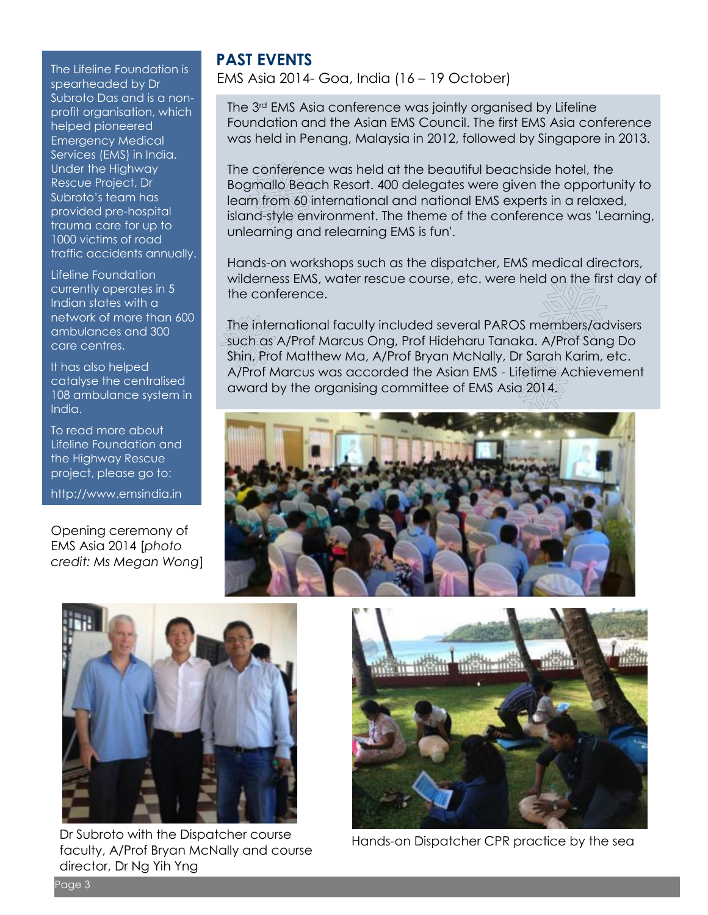**PAST EVENTS**<br>The Lifeline Foundation is spearheaded by Dr Subroto Das and is a nonprofit organisation, which helped pioneered Emergency Medical Services (EMS) in India. Under the Highway Rescue Project, Dr Subroto's team has provided pre-hospital trauma care for up to 1000 victims of road traffic accidents annually.

Lifeline Foundation currently operates in 5 Indian states with a network of more than 600 ambulances and 300 care centres.

It has also helped catalyse the centralised 108 ambulance system in India.

To read more about Lifeline Foundation and the Highway Rescue project, please go to:

http://www.emsindia.in

Opening ceremony of EMS Asia 2014 [*photo credit: Ms Megan Wong*]

EMS Asia 2014- Goa, India (16 – 19 October)

The 3rd EMS Asia conference was jointly organised by Lifeline Foundation and the Asian EMS Council. The first EMS Asia conference was held in Penang, Malaysia in 2012, followed by Singapore in 2013.

The conference was held at the beautiful beachside hotel, the Bogmallo Beach Resort. 400 delegates were given the opportunity to learn from 60 international and national EMS experts in a relaxed, island-style environment. The theme of the conference was 'Learning, unlearning and relearning EMS is fun'.

Hands-on workshops such as the dispatcher, EMS medical directors, wilderness EMS, water rescue course, etc. were held on the first day of the conference.

The international faculty included several PAROS members/advisers such as A/Prof Marcus Ong, Prof Hideharu Tanaka. A/Prof Sang Do Shin, Prof Matthew Ma, A/Prof Bryan McNally, Dr Sarah Karim, etc. A/Prof Marcus was accorded the Asian EMS - Lifetime Achievement award by the organising committee of EMS Asia 2014.





Dr Subroto with the Dispatcher course faculty, A/Prof Bryan McNally and course director, Dr Ng Yih Yng



Hands-on Dispatcher CPR practice by the sea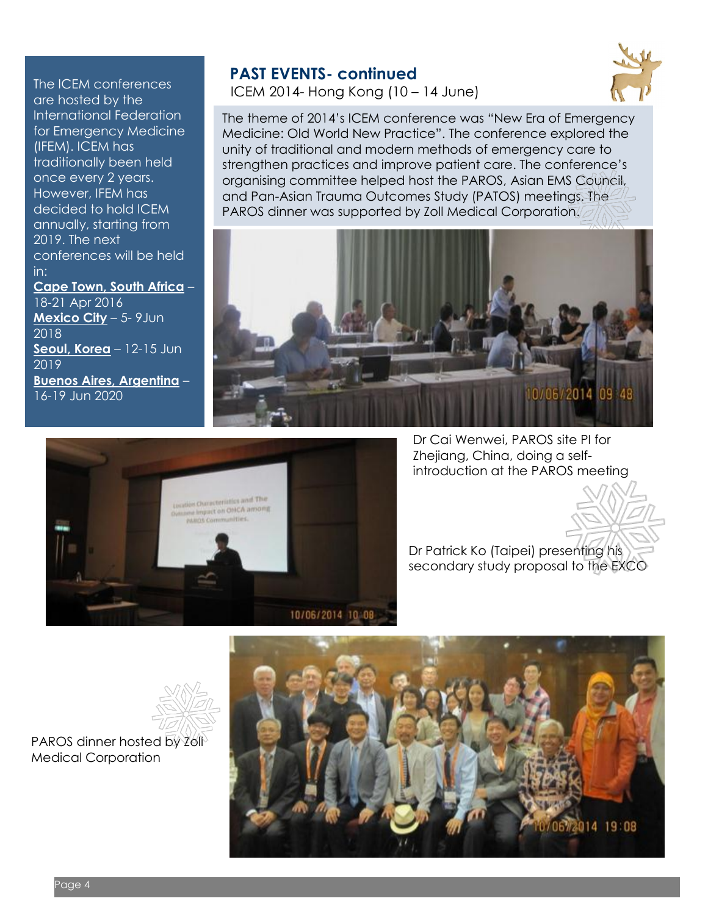The ICEM conferences are hosted by the International Federation for Emergency Medicine (IFEM). ICEM has traditionally been held once every 2 years. However, IFEM has decided to hold ICEM annually, starting from 2019. The next conferences will be held in:

**Cape Town, South Africa** –

18-21 Apr 2016 **Mexico City** – 5- 9Jun 2018 **Seoul, Korea** – 12-15 Jun 2019 **Buenos Aires, Argentina** – 16-19 Jun 2020

### **PAST EVENTS- continued**

ICEM 2014- Hong Kong (10 – 14 June)



The theme of 2014's ICEM conference was "New Era of Emergency Medicine: Old World New Practice". The conference explored the unity of traditional and modern methods of emergency care to strengthen practices and improve patient care. The conference's organising committee helped host the PAROS, Asian EMS Council, and Pan-Asian Trauma Outcomes Study (PATOS) meetings. The PAROS dinner was supported by Zoll Medical Corporation.





Dr Cai Wenwei, PAROS site PI for Zhejiang, China, doing a selfintroduction at the PAROS meeting

Dr Patrick Ko (Taipei) presenting his secondary study proposal to the EXCO



PAROS dinner hosted by Zoll<sup>3</sup> Medical Corporation

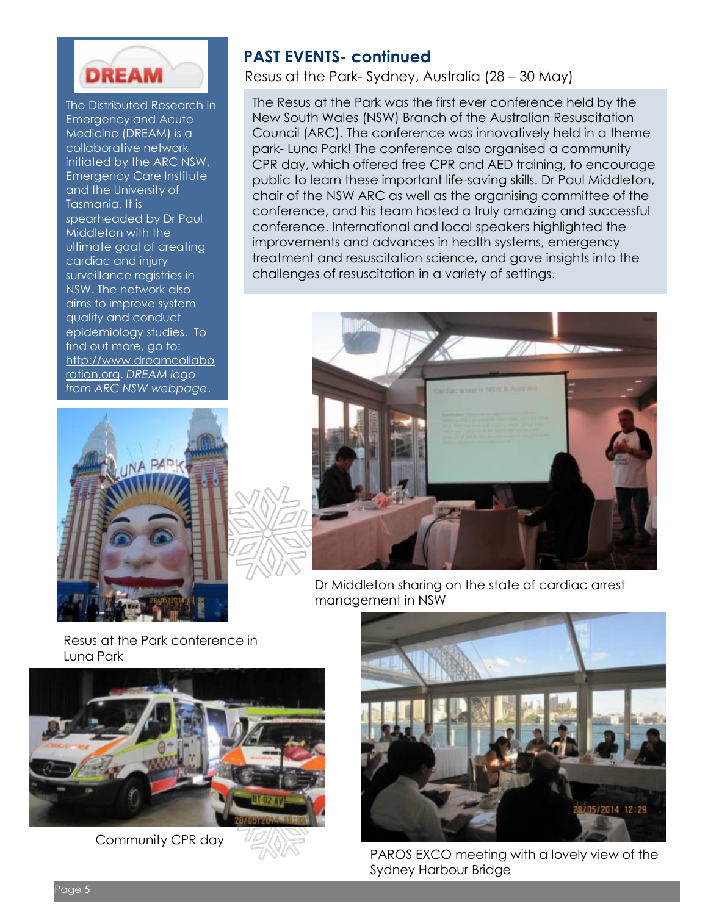

The Distributed Research in Emergency and Acute Medicine (DREAM) is a collaborative network initiated by the ARC NSW, Emergency Care Institute and the University of Tasmania. It is spearheaded by Dr Paul Middleton with the ultimate goal of creating cardiac and injury surveillance registries in NSW. The network also aims to improve system quality and conduct epidemiology studies. To find out more, go to: [http://www.dreamcollabo](http://www.dreamcollaboration.org/) [ration.org.](http://www.dreamcollaboration.org/) *DREAM logo from ARC NSW webpage*.



Resus at the Park- Sydney, Australia (28 – 30 May)

The Resus at the Park was the first ever conference held by the New South Wales (NSW) Branch of the Australian Resuscitation Council (ARC). The conference was innovatively held in a theme park- Luna Park! The conference also organised a community CPR day, which offered free CPR and AED training, to encourage public to learn these important life-saving skills. Dr Paul Middleton, chair of the NSW ARC as well as the organising committee of the conference, and his team hosted a truly amazing and successful conference. International and local speakers highlighted the improvements and advances in health systems, emergency treatment and resuscitation science, and gave insights into the challenges of resuscitation in a variety of settings.



Dr Middleton sharing on the state of cardiac arrest management in NSW

Resus at the Park conference in Luna Park



Community CPR day



PAROS EXCO meeting with a lovely view of the Sydney Harbour Bridge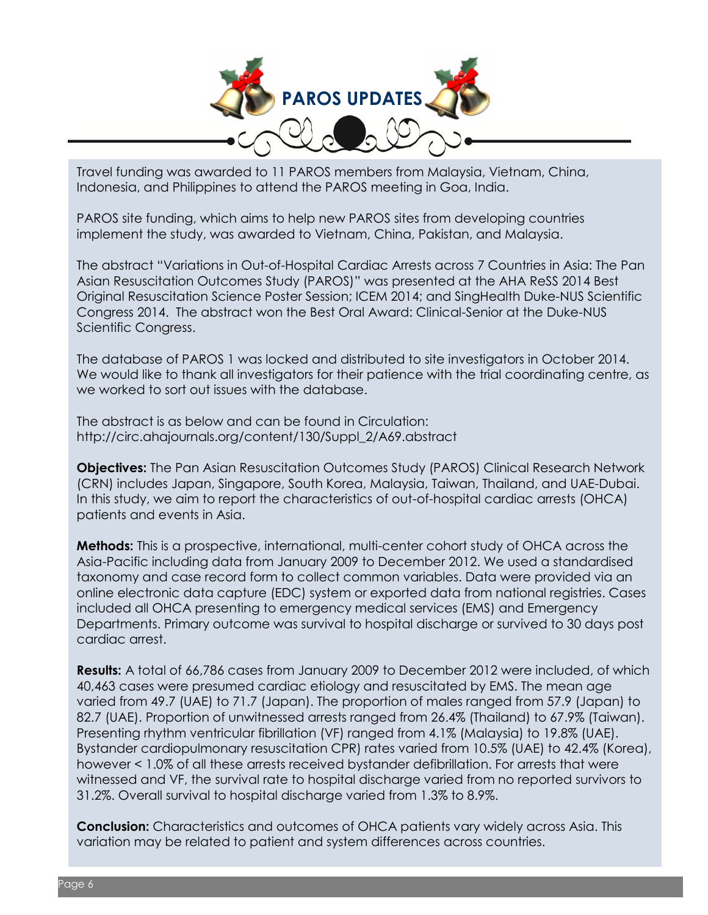

Travel funding was awarded to 11 PAROS members from Malaysia, Vietnam, China, Indonesia, and Philippines to attend the PAROS meeting in Goa, India.

PAROS site funding, which aims to help new PAROS sites from developing countries implement the study, was awarded to Vietnam, China, Pakistan, and Malaysia.

The abstract "Variations in Out-of-Hospital Cardiac Arrests across 7 Countries in Asia: The Pan Asian Resuscitation Outcomes Study (PAROS)" was presented at the AHA ReSS 2014 Best Original Resuscitation Science Poster Session; ICEM 2014; and SingHealth Duke-NUS Scientific Congress 2014. The abstract won the Best Oral Award: Clinical-Senior at the Duke-NUS Scientific Congress.

The database of PAROS 1 was locked and distributed to site investigators in October 2014. We would like to thank all investigators for their patience with the trial coordinating centre, as we worked to sort out issues with the database.

The abstract is as below and can be found in Circulation: http://circ.ahajournals.org/content/130/Suppl\_2/A69.abstract

**Objectives:** The Pan Asian Resuscitation Outcomes Study (PAROS) Clinical Research Network (CRN) includes Japan, Singapore, South Korea, Malaysia, Taiwan, Thailand, and UAE-Dubai. In this study, we aim to report the characteristics of out-of-hospital cardiac arrests (OHCA) patients and events in Asia.

**Methods:** This is a prospective, international, multi-center cohort study of OHCA across the Asia-Pacific including data from January 2009 to December 2012. We used a standardised taxonomy and case record form to collect common variables. Data were provided via an online electronic data capture (EDC) system or exported data from national registries. Cases included all OHCA presenting to emergency medical services (EMS) and Emergency Departments. Primary outcome was survival to hospital discharge or survived to 30 days post cardiac arrest.

**Results:** A total of 66,786 cases from January 2009 to December 2012 were included, of which 40,463 cases were presumed cardiac etiology and resuscitated by EMS. The mean age varied from 49.7 (UAE) to 71.7 (Japan). The proportion of males ranged from 57.9 (Japan) to 82.7 (UAE). Proportion of unwitnessed arrests ranged from 26.4% (Thailand) to 67.9% (Taiwan). Presenting rhythm ventricular fibrillation (VF) ranged from 4.1% (Malaysia) to 19.8% (UAE). Bystander cardiopulmonary resuscitation CPR) rates varied from 10.5% (UAE) to 42.4% (Korea), however < 1.0% of all these arrests received bystander defibrillation. For arrests that were witnessed and VF, the survival rate to hospital discharge varied from no reported survivors to 31.2%. Overall survival to hospital discharge varied from 1.3% to 8.9%.

**Conclusion:** Characteristics and outcomes of OHCA patients vary widely across Asia. This variation may be related to patient and system differences across countries.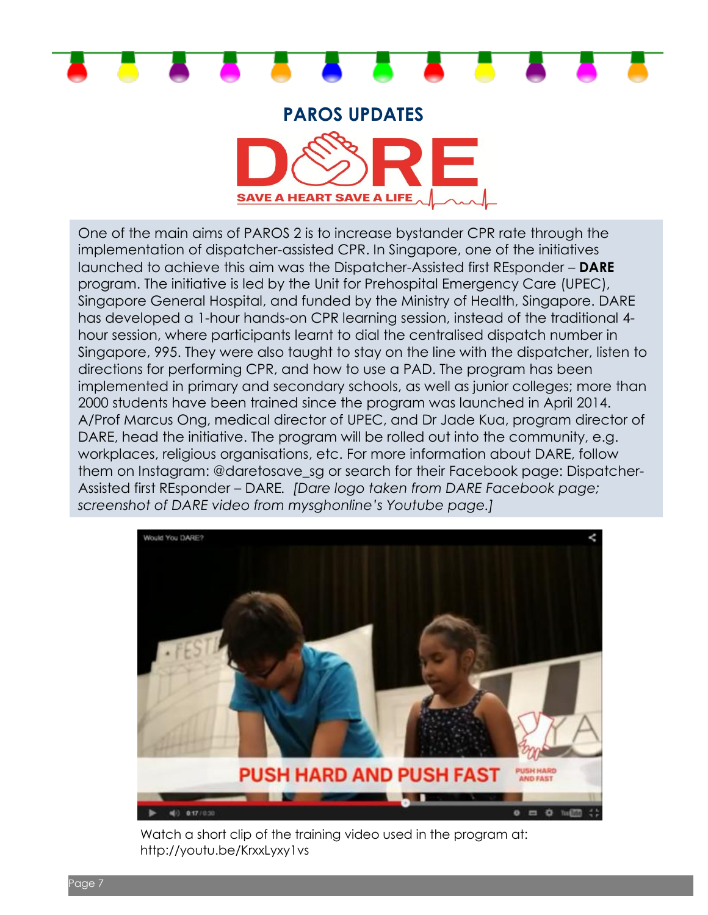

#### **PAROS UPDATES**



One of the main aims of PAROS 2 is to increase bystander CPR rate through the implementation of dispatcher-assisted CPR. In Singapore, one of the initiatives launched to achieve this aim was the Dispatcher-Assisted first REsponder – **DARE** program. The initiative is led by the Unit for Prehospital Emergency Care (UPEC), Singapore General Hospital, and funded by the Ministry of Health, Singapore. DARE has developed a 1-hour hands-on CPR learning session, instead of the traditional 4 hour session, where participants learnt to dial the centralised dispatch number in Singapore, 995. They were also taught to stay on the line with the dispatcher, listen to directions for performing CPR, and how to use a PAD. The program has been implemented in primary and secondary schools, as well as junior colleges; more than 2000 students have been trained since the program was launched in April 2014. A/Prof Marcus Ong, medical director of UPEC, and Dr Jade Kua, program director of DARE, head the initiative. The program will be rolled out into the community, e.g. workplaces, religious organisations, etc. For more information about DARE, follow them on Instagram: @daretosave\_sg or search for their Facebook page: Dispatcher-Assisted first REsponder – DARE*. [Dare logo taken from DARE Facebook page; screenshot of DARE video from mysghonline's Youtube page.]*



Watch a short clip of the training video used in the program at: http://youtu.be/KrxxLyxy1vs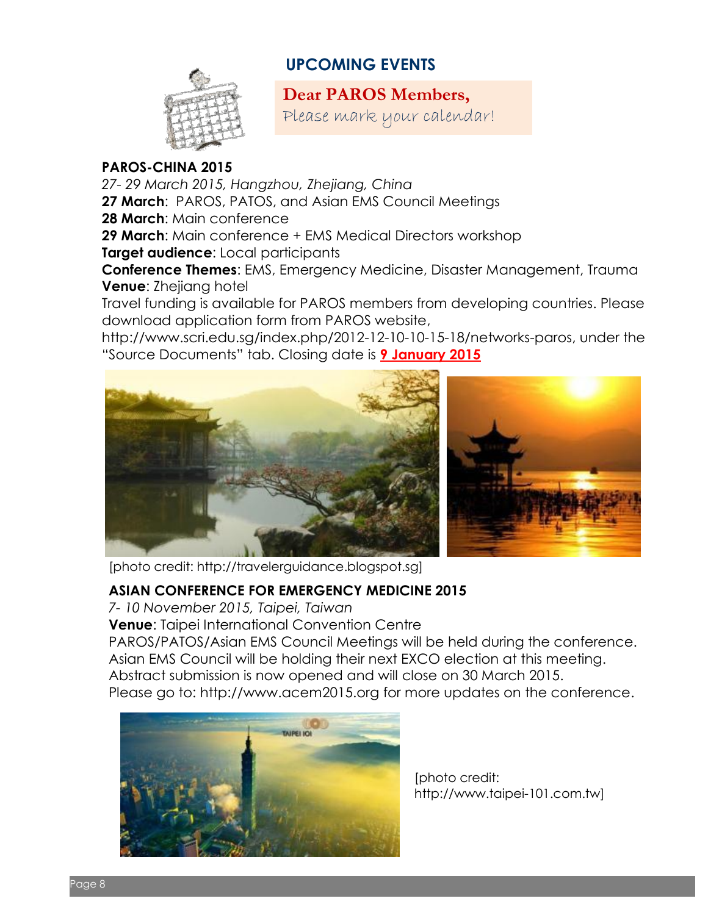## **UPCOMING EVENTS**



**Dear PAROS Members,**

Please mark your calendar!

#### **PAROS-CHINA 2015**

*27- 29 March 2015, Hangzhou, Zhejiang, China* **27 March**: PAROS, PATOS, and Asian EMS Council Meetings **28 March**: Main conference **29 March**: Main conference + EMS Medical Directors workshop **Target audience**: Local participants **Conference Themes**: EMS, Emergency Medicine, Disaster Management, Trauma **Venue**: Zhejiang hotel

Travel funding is available for PAROS members from developing countries. Please download application form from PAROS website,

http://www.scri.edu.sg/index.php/2012-12-10-10-15-18/networks-paros, under the "Source Documents" tab. Closing date is **9 January 2015**





[photo credit: http://travelerguidance.blogspot.sg]

#### **ASIAN CONFERENCE FOR EMERGENCY MEDICINE 2015**

*7- 10 November 2015, Taipei, Taiwan*

**Venue**: Taipei International Convention Centre

PAROS/PATOS/Asian EMS Council Meetings will be held during the conference.

Asian EMS Council will be holding their next EXCO election at this meeting.

Abstract submission is now opened and will close on 30 March 2015.

Please go to: [http://www.acem2015.org](http://www.acem2015.org/) for more updates on the conference.



[photo credit: http://www.taipei-101.com.tw]